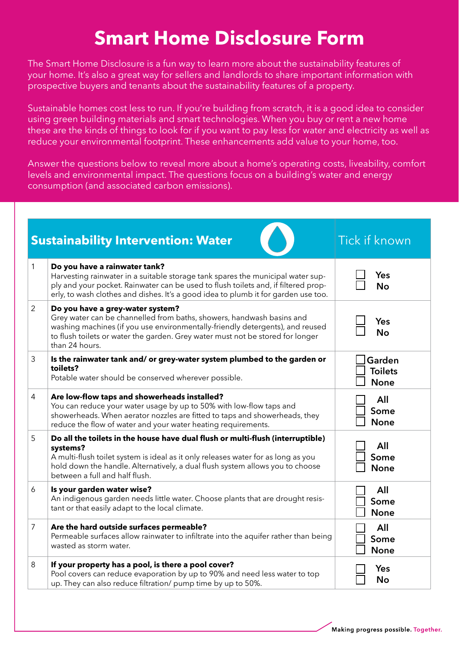## **Smart Home Disclosure Form**

The Smart Home Disclosure is a fun way to learn more about the sustainability features of your home. It's also a great way for sellers and landlords to share important information with prospective buyers and tenants about the sustainability features of a property.

Sustainable homes cost less to run. If you're building from scratch, it is a good idea to consider using green building materials and smart technologies. When you buy or rent a new home these are the kinds of things to look for if you want to pay less for water and electricity as well as reduce your environmental footprint. These enhancements add value to your home, too.

Answer the questions below to reveal more about a home's operating costs, liveability, comfort levels and environmental impact. The questions focus on a building's water and energy consumption (and associated carbon emissions).

| <b>Sustainability Intervention: Water</b><br><b>Tick if known</b> |                                                                                                                                                                                                                                                                                                    |                                         |
|-------------------------------------------------------------------|----------------------------------------------------------------------------------------------------------------------------------------------------------------------------------------------------------------------------------------------------------------------------------------------------|-----------------------------------------|
| $\mathbf{1}$                                                      | Do you have a rainwater tank?<br>Harvesting rainwater in a suitable storage tank spares the municipal water sup-<br>ply and your pocket. Rainwater can be used to flush toilets and, if filtered prop-<br>erly, to wash clothes and dishes. It's a good idea to plumb it for garden use too.       | Yes<br><b>No</b>                        |
| $\overline{2}$                                                    | Do you have a grey-water system?<br>Grey water can be channelled from baths, showers, handwash basins and<br>washing machines (if you use environmentally-friendly detergents), and reused<br>to flush toilets or water the garden. Grey water must not be stored for longer<br>than 24 hours.     | Yes<br><b>No</b>                        |
| 3                                                                 | Is the rainwater tank and/ or grey-water system plumbed to the garden or<br>toilets?<br>Potable water should be conserved wherever possible.                                                                                                                                                       | Garden<br><b>Toilets</b><br><b>None</b> |
| 4                                                                 | Are low-flow taps and showerheads installed?<br>You can reduce your water usage by up to 50% with low-flow taps and<br>showerheads. When aerator nozzles are fitted to taps and showerheads, they<br>reduce the flow of water and your water heating requirements.                                 | All<br>Some<br><b>None</b>              |
| 5                                                                 | Do all the toilets in the house have dual flush or multi-flush (interruptible)<br>systems?<br>A multi-flush toilet system is ideal as it only releases water for as long as you<br>hold down the handle. Alternatively, a dual flush system allows you to choose<br>between a full and half flush. | All<br>Some<br><b>None</b>              |
| 6                                                                 | Is your garden water wise?<br>An indigenous garden needs little water. Choose plants that are drought resis-<br>tant or that easily adapt to the local climate.                                                                                                                                    | All<br>Some<br><b>None</b>              |
| $\overline{7}$                                                    | Are the hard outside surfaces permeable?<br>Permeable surfaces allow rainwater to infiltrate into the aquifer rather than being<br>wasted as storm water.                                                                                                                                          | All<br>Some<br><b>None</b>              |
| 8                                                                 | If your property has a pool, is there a pool cover?<br>Pool covers can reduce evaporation by up to 90% and need less water to top<br>up. They can also reduce filtration/ pump time by up to 50%.                                                                                                  | Yes<br><b>No</b>                        |